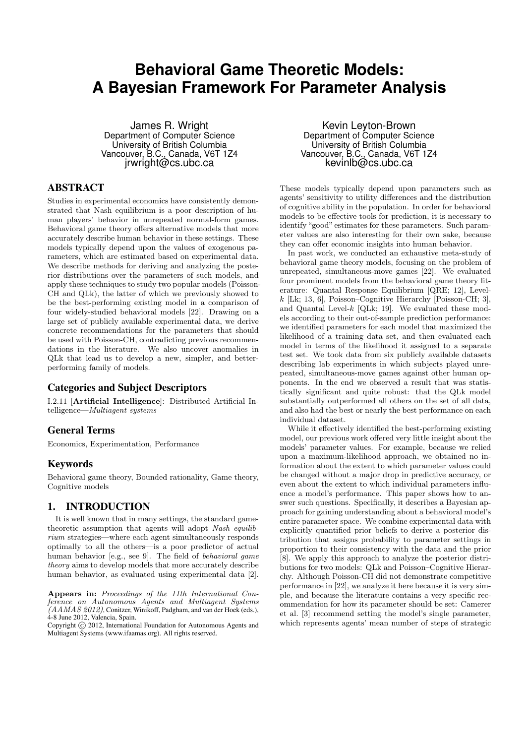# **Behavioral Game Theoretic Models: A Bayesian Framework For Parameter Analysis**

James R. Wright Department of Computer Science University of British Columbia Vancouver, B.C., Canada, V6T 1Z4 jrwright@cs.ubc.ca

## ABSTRACT

Studies in experimental economics have consistently demonstrated that Nash equilibrium is a poor description of human players' behavior in unrepeated normal-form games. Behavioral game theory offers alternative models that more accurately describe human behavior in these settings. These models typically depend upon the values of exogenous parameters, which are estimated based on experimental data. We describe methods for deriving and analyzing the posterior distributions over the parameters of such models, and apply these techniques to study two popular models (Poisson-CH and QLk), the latter of which we previously showed to be the best-performing existing model in a comparison of four widely-studied behavioral models [22]. Drawing on a large set of publicly available experimental data, we derive concrete recommendations for the parameters that should be used with Poisson-CH, contradicting previous recommendations in the literature. We also uncover anomalies in QLk that lead us to develop a new, simpler, and betterperforming family of models.

## Categories and Subject Descriptors

I.2.11 [Artificial Intelligence]: Distributed Artificial Intelligence—Multiagent systems

## General Terms

Economics, Experimentation, Performance

## Keywords

Behavioral game theory, Bounded rationality, Game theory, Cognitive models

# 1. INTRODUCTION

It is well known that in many settings, the standard gametheoretic assumption that agents will adopt Nash equilibrium strategies—where each agent simultaneously responds optimally to all the others—is a poor predictor of actual human behavior [e.g., see 9]. The field of behavioral game theory aims to develop models that more accurately describe human behavior, as evaluated using experimental data [2].

Appears in: Proceedings of the 11th International Conference on Autonomous Agents and Multiagent Systems  $(AAMAS 2012)$ , Conitzer, Winikoff, Padgham, and van der Hoek (eds.), 4-8 June 2012, Valencia, Spain.

Copyright (C) 2012, International Foundation for Autonomous Agents and Multiagent Systems (www.ifaamas.org). All rights reserved.

Kevin Leyton-Brown Department of Computer Science University of British Columbia Vancouver, B.C., Canada, V6T 1Z4 kevinlb@cs.ubc.ca

These models typically depend upon parameters such as agents' sensitivity to utility differences and the distribution of cognitive ability in the population. In order for behavioral models to be effective tools for prediction, it is necessary to identify "good" estimates for these parameters. Such parameter values are also interesting for their own sake, because they can offer economic insights into human behavior.

In past work, we conducted an exhaustive meta-study of behavioral game theory models, focusing on the problem of unrepeated, simultaneous-move games [22]. We evaluated four prominent models from the behavioral game theory literature: Quantal Response Equilibrium [QRE; 12], Level $k$  [Lk; 13, 6], Poisson–Cognitive Hierarchy [Poisson-CH; 3], and Quantal Level- $k$  [QLk; 19]. We evaluated these models according to their out-of-sample prediction performance: we identified parameters for each model that maximized the likelihood of a training data set, and then evaluated each model in terms of the likelihood it assigned to a separate test set. We took data from six publicly available datasets describing lab experiments in which subjects played unrepeated, simultaneous-move games against other human opponents. In the end we observed a result that was statistically significant and quite robust: that the QLk model substantially outperformed all others on the set of all data, and also had the best or nearly the best performance on each individual dataset.

While it effectively identified the best-performing existing model, our previous work offered very little insight about the models' parameter values. For example, because we relied upon a maximum-likelihood approach, we obtained no information about the extent to which parameter values could be changed without a major drop in predictive accuracy, or even about the extent to which individual parameters influence a model's performance. This paper shows how to answer such questions. Specifically, it describes a Bayesian approach for gaining understanding about a behavioral model's entire parameter space. We combine experimental data with explicitly quantified prior beliefs to derive a posterior distribution that assigns probability to parameter settings in proportion to their consistency with the data and the prior [8]. We apply this approach to analyze the posterior distributions for two models: QLk and Poisson–Cognitive Hierarchy. Although Poisson-CH did not demonstrate competitive performance in [22], we analyze it here because it is very simple, and because the literature contains a very specific recommendation for how its parameter should be set: Camerer et al. [3] recommend setting the model's single parameter, which represents agents' mean number of steps of strategic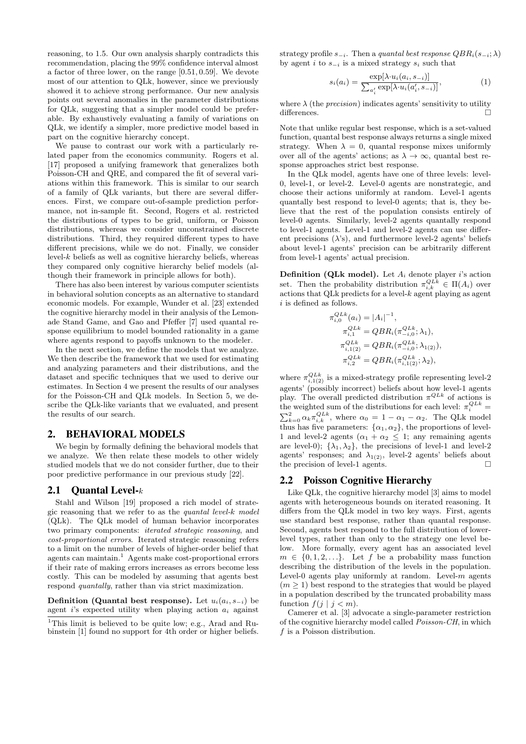reasoning, to 1.5. Our own analysis sharply contradicts this recommendation, placing the 99% confidence interval almost a factor of three lower, on the range [0.51, 0.59]. We devote most of our attention to QLk, however, since we previously showed it to achieve strong performance. Our new analysis points out several anomalies in the parameter distributions for QLk, suggesting that a simpler model could be preferable. By exhaustively evaluating a family of variations on QLk, we identify a simpler, more predictive model based in part on the cognitive hierarchy concept.

We pause to contrast our work with a particularly related paper from the economics community. Rogers et al. [17] proposed a unifying framework that generalizes both Poisson-CH and QRE, and compared the fit of several variations within this framework. This is similar to our search of a family of QLk variants, but there are several differences. First, we compare out-of-sample prediction performance, not in-sample fit. Second, Rogers et al. restricted the distributions of types to be grid, uniform, or Poisson distributions, whereas we consider unconstrained discrete distributions. Third, they required different types to have different precisions, while we do not. Finally, we consider level- $k$  beliefs as well as cognitive hierarchy beliefs, whereas they compared only cognitive hierarchy belief models (although their framework in principle allows for both).

There has also been interest by various computer scientists in behavioral solution concepts as an alternative to standard economic models. For example, Wunder et al. [23] extended the cognitive hierarchy model in their analysis of the Lemonade Stand Game, and Gao and Pfeffer [7] used quantal response equilibrium to model bounded rationality in a game where agents respond to payoffs unknown to the modeler.

In the next section, we define the models that we analyze. We then describe the framework that we used for estimating and analyzing parameters and their distributions, and the dataset and specific techniques that we used to derive our estimates. In Section 4 we present the results of our analyses for the Poisson-CH and QLk models. In Section 5, we describe the QLk-like variants that we evaluated, and present the results of our search.

## 2. BEHAVIORAL MODELS

We begin by formally defining the behavioral models that we analyze. We then relate these models to other widely studied models that we do not consider further, due to their poor predictive performance in our previous study [22].

## 2.1 Ouantal Level- $k$

Stahl and Wilson [19] proposed a rich model of strategic reasoning that we refer to as the quantal level-k model (QLk). The QLk model of human behavior incorporates two primary components: iterated strategic reasoning, and cost-proportional errors. Iterated strategic reasoning refers to a limit on the number of levels of higher-order belief that agents can maintain.<sup>1</sup> Agents make cost-proportional errors if their rate of making errors increases as errors become less costly. This can be modeled by assuming that agents best respond quantally, rather than via strict maximization.

Definition (Quantal best response). Let  $u_i(a_i, s_{-i})$  be agent i's expected utility when playing action  $a_i$  against

<sup>1</sup>This limit is believed to be quite low; e.g., Arad and Rubinstein [1] found no support for 4th order or higher beliefs.

strategy profile  $s_{-i}$ . Then a quantal best response  $QBR_i(s_{-i};\lambda)$ by agent i to  $s_{-i}$  is a mixed strategy  $s_i$  such that

$$
s_i(a_i) = \frac{\exp[\lambda \cdot u_i(a_i, s_{-i})]}{\sum_{a'_i} \exp[\lambda \cdot u_i(a'_i, s_{-i})]},
$$
\n(1)

where  $\lambda$  (the *precision*) indicates agents' sensitivity to utility differences.

Note that unlike regular best response, which is a set-valued function, quantal best response always returns a single mixed strategy. When  $\lambda = 0$ , quantal response mixes uniformly over all of the agents' actions; as  $\lambda \to \infty$ , quantal best response approaches strict best response.

In the QLk model, agents have one of three levels: level-0, level-1, or level-2. Level-0 agents are nonstrategic, and choose their actions uniformly at random. Level-1 agents quantally best respond to level-0 agents; that is, they believe that the rest of the population consists entirely of level-0 agents. Similarly, level-2 agents quantally respond to level-1 agents. Level-1 and level-2 agents can use different precisions  $(\lambda)$ , and furthermore level-2 agents' beliefs about level-1 agents' precision can be arbitrarily different from level-1 agents' actual precision.

**Definition (QLk model).** Let  $A_i$  denote player i's action set. Then the probability distribution  $\pi_{i,k}^{QLk} \in \Pi(A_i)$  over actions that QLk predicts for a level- $k$  agent playing as agent  $i$  is defined as follows.

$$
\pi_{i,0}^{QLk}(a_i) = |A_i|^{-1},
$$
  
\n
$$
\pi_{i,1}^{QLk} = QBR_i(\pi_{-i,0}^{QLk}; \lambda_1),
$$
  
\n
$$
\pi_{i,1(2)}^{QLk} = QBR_i(\pi_{-i,0}^{QLk}; \lambda_{1(2)}),
$$
  
\n
$$
\pi_{i,2}^{QLk} = QBR_i(\pi_{i,1(2)}^{QLk}; \lambda_2),
$$

where  $\pi_{i,1(2)}^{QLk}$  is a mixed-strategy profile representing level-2 agents' (possibly incorrect) beliefs about how level-1 agents play. The overall predicted distribution  $\pi^{QLk}$  of actions is the weighted sum of the distributions for each level:  $\pi_i^{QLk}$  =  $\sum_{k=0}^{2} \alpha_k \pi_{i,k}^{QLk}$ , where  $\alpha_0 = 1 - \alpha_1 - \alpha_2$ . The QLk model thus has five parameters:  $\{\alpha_1, \alpha_2\}$ , the proportions of level-1 and level-2 agents  $(\alpha_1 + \alpha_2 \leq 1;$  any remaining agents are level-0);  $\{\lambda_1, \lambda_2\}$ , the precisions of level-1 and level-2 agents' responses; and  $\lambda_{1(2)}$ , level-2 agents' beliefs about the precision of level-1 agents.

## 2.2 Poisson Cognitive Hierarchy

Like QLk, the cognitive hierarchy model [3] aims to model agents with heterogeneous bounds on iterated reasoning. It differs from the QLk model in two key ways. First, agents use standard best response, rather than quantal response. Second, agents best respond to the full distribution of lowerlevel types, rather than only to the strategy one level below. More formally, every agent has an associated level  $m \in \{0, 1, 2, \ldots\}$ . Let f be a probability mass function describing the distribution of the levels in the population. Level-0 agents play uniformly at random. Level- $m$  agents  $(m \geq 1)$  best respond to the strategies that would be played in a population described by the truncated probability mass function  $f(j | j < m)$ .

Camerer et al. [3] advocate a single-parameter restriction of the cognitive hierarchy model called Poisson-CH, in which  $f$  is a Poisson distribution.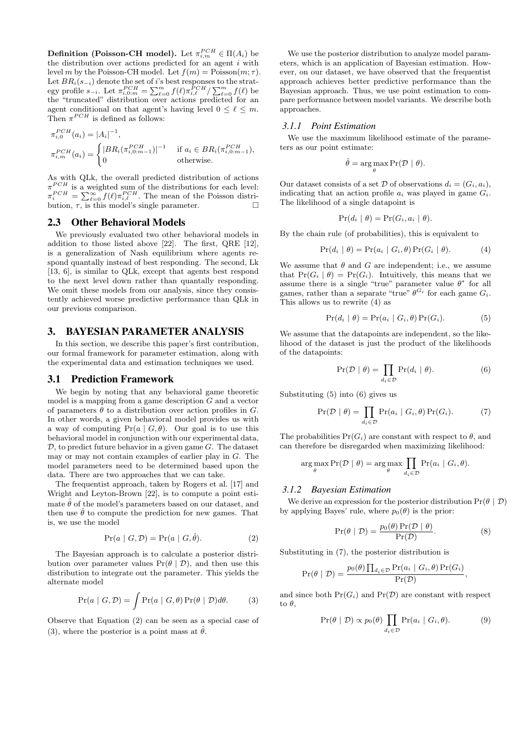**Definition (Poisson-CH model).** Let  $\pi_{i,m}^{PCH} \in \Pi(A_i)$  be the distribution over actions predicted for an agent  $i$  with level m by the Poisson-CH model. Let  $f(m) = \text{Poisson}(m; \tau)$ . Let  $BR_i(s_{-i})$  denote the set of i's best responses to the strategy profile  $s_{-i}$ . Let  $\pi_{i,0:m}^{PCH} = \sum_{\ell=0}^{m} f(\ell) \pi_{i,\ell}^{\overline{PCH}} / \sum_{\ell=0}^{m} f(\ell)$  be the "truncated" distribution over actions predicted for an agent conditional on that agent's having level  $0 \leq \ell \leq m$ . Then  $\pi^{PCH}$  is defined as follows:

$$
\pi_{i,0}^{PCH}(a_i) = |A_i|^{-1},
$$
\n
$$
\pi_{i,m}^{PCH}(a_i) = \begin{cases} |BR_i(\pi_{i,0:m-1}^{PCH})|^{-1} & \text{if } a_i \in BR_i(\pi_{i,0:m-1}^{PCH}), \\ 0 & \text{otherwise.} \end{cases}
$$

As with QLk, the overall predicted distribution of actions  $\pi^{PCH}$  is a weighted sum of the distributions for each level:  $\pi_i^{PCH} = \sum_{\ell=0}^{\infty} f(\ell) \pi_{i,\ell}^{PCH}$ . The mean of the Poisson distribution,  $\tau$ , is this model's single parameter.

#### 2.3 Other Behavioral Models

We previously evaluated two other behavioral models in addition to those listed above [22]. The first, QRE [12], is a generalization of Nash equilibrium where agents respond quantally instead of best responding. The second, Lk [13, 6], is similar to QLk, except that agents best respond to the next level down rather than quantally responding. We omit these models from our analysis, since they consistently achieved worse predictive performance than QLk in our previous comparison.

## 3. BAYESIAN PARAMETER ANALYSIS

In this section, we describe this paper's first contribution, our formal framework for parameter estimation, along with the experimental data and estimation techniques we used.

#### 3.1 Prediction Framework

We begin by noting that any behavioral game theoretic model is a mapping from a game description G and a vector of parameters  $\theta$  to a distribution over action profiles in G. In other words, a given behavioral model provides us with a way of computing  $Pr(a | G, \theta)$ . Our goal is to use this behavioral model in conjunction with our experimental data,  $D$ , to predict future behavior in a given game  $G$ . The dataset may or may not contain examples of earlier play in G. The model parameters need to be determined based upon the data. There are two approaches that we can take.

The frequentist approach, taken by Rogers et al. [17] and Wright and Leyton-Brown [22], is to compute a point estimate  $\hat{\theta}$  of the model's parameters based on our dataset, and then use  $\hat{\theta}$  to compute the prediction for new games. That is, we use the model

$$
Pr(a \mid G, \mathcal{D}) = Pr(a \mid G, \hat{\theta}). \tag{2}
$$

The Bayesian approach is to calculate a posterior distribution over parameter values  $Pr(\theta | \mathcal{D})$ , and then use this distribution to integrate out the parameter. This yields the alternate model

$$
Pr(a \mid G, \mathcal{D}) = \int Pr(a \mid G, \theta) Pr(\theta \mid \mathcal{D}) d\theta.
$$
 (3)

Observe that Equation (2) can be seen as a special case of (3), where the posterior is a point mass at  $\hat{\theta}$ .

We use the posterior distribution to analyze model parameters, which is an application of Bayesian estimation. However, on our dataset, we have observed that the frequentist approach achieves better predictive performance than the Bayesian approach. Thus, we use point estimation to compare performance between model variants. We describe both approaches.

#### *3.1.1 Point Estimation*

We use the maximum likelihood estimate of the parameters as our point estimate:

$$
\hat{\theta} = \arg \max_{\theta} \Pr(\mathcal{D} \mid \theta).
$$

Our dataset consists of a set  $\mathcal D$  of observations  $d_i = (G_i, a_i)$ , indicating that an action profile  $a_i$  was played in game  $G_i$ . The likelihood of a single datapoint is

$$
Pr(d_i | \theta) = Pr(G_i, a_i | \theta).
$$

By the chain rule (of probabilities), this is equivalent to

$$
Pr(d_i | \theta) = Pr(a_i | G_i, \theta) Pr(G_i | \theta).
$$
 (4)

We assume that  $\theta$  and  $G$  are independent; i.e., we assume that  $Pr(G_i | \theta) = Pr(G_i)$ . Intuitively, this means that we assume there is a single "true" parameter value  $\theta^*$  for all games, rather than a separate "true"  $\theta^{G_i}$  for each game  $G_i$ . This allows us to rewrite (4) as

$$
Pr(d_i | \theta) = Pr(a_i | G_i, \theta) Pr(G_i).
$$
 (5)

We assume that the datapoints are independent, so the likelihood of the dataset is just the product of the likelihoods of the datapoints:

$$
\Pr(\mathcal{D} \mid \theta) = \prod_{d_i \in \mathcal{D}} \Pr(d_i \mid \theta). \tag{6}
$$

Substituting (5) into (6) gives us

$$
\Pr(\mathcal{D} \mid \theta) = \prod_{d_i \in \mathcal{D}} \Pr(a_i \mid G_i, \theta) \Pr(G_i). \tag{7}
$$

The probabilities  $Pr(G_i)$  are constant with respect to  $\theta$ , and can therefore be disregarded when maximizing likelihood:

$$
\underset{\theta}{\arg\max} \Pr(\mathcal{D} \mid \theta) = \underset{\theta}{\arg\max} \prod_{d_i \in \mathcal{D}} \Pr(a_i \mid G_i, \theta).
$$

#### *3.1.2 Bayesian Estimation*

We derive an expression for the posterior distribution  $Pr(\theta | \mathcal{D})$ by applying Bayes' rule, where  $p_0(\theta)$  is the prior:

$$
Pr(\theta | \mathcal{D}) = \frac{p_0(\theta) Pr(\mathcal{D} | \theta)}{Pr(\mathcal{D})}.
$$
 (8)

Substituting in (7), the posterior distribution is

$$
Pr(\theta | \mathcal{D}) = \frac{p_0(\theta) \prod_{d_i \in \mathcal{D}} Pr(a_i | G_i, \theta) Pr(G_i)}{Pr(\mathcal{D})},
$$

and since both  $Pr(G_i)$  and  $Pr(\mathcal{D})$  are constant with respect to  $\theta$ ,

$$
\Pr(\theta \mid \mathcal{D}) \propto p_0(\theta) \prod_{d_i \in \mathcal{D}} \Pr(a_i \mid G_i, \theta). \tag{9}
$$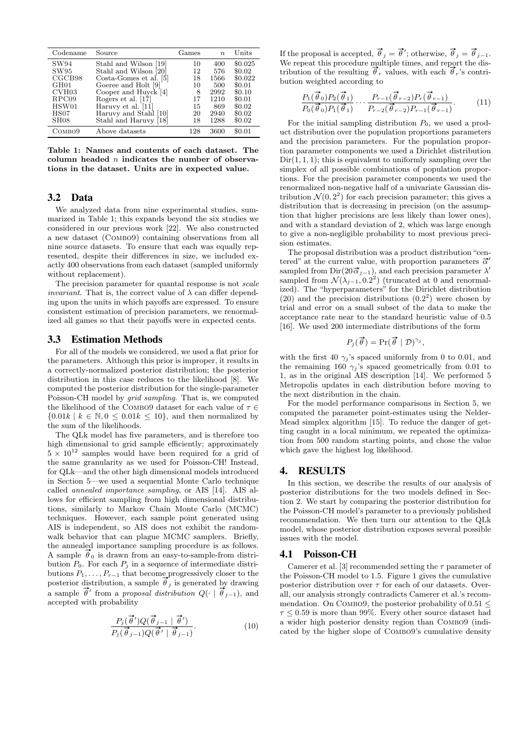| Codename         | Source                                 | Games | $\boldsymbol{n}$ | Units   |
|------------------|----------------------------------------|-------|------------------|---------|
| SW94             | Stahl and Wilson<br> 19                | 10    | 400              | \$0.025 |
| SW95             | Stahl and Wilson [20]                  | 12    | 576              | \$0.02  |
| CGCB98           | Costa-Gomes et al. [5]                 | 18    | 1566             | \$0.022 |
| GH <sub>01</sub> | Goeree and Holt [9]                    | 10    | 500              | \$0.01  |
| CVH03            | Cooper and Huyck [4]                   | 8     | 2992             | \$0.10  |
| RPC09            | Rogers et al. [17]                     | 17    | 1210             | \$0.01  |
| HSW01            | Haruvy et al. [11]                     | 15    | 869              | \$0.02  |
| HSO7             | Haruvy and Stahl [10]                  | 20    | 2940             | \$0.02  |
| SH <sub>08</sub> | Stahl and Haruvy<br>$\lceil 18 \rceil$ | 18    | 1288             | \$0.02  |
| Сомво9           | Above datasets                         | 128   | 3600             | \$0.01  |

Table 1: Names and contents of each dataset. The column headed  $n$  indicates the number of observations in the dataset. Units are in expected value.

## 3.2 Data

We analyzed data from nine experimental studies, summarized in Table 1; this expands beyond the six studies we considered in our previous work [22]. We also constructed a new dataset (Combo9) containing observations from all nine source datasets. To ensure that each was equally represented, despite their differences in size, we included exactly 400 observations from each dataset (sampled uniformly without replacement).

The precision parameter for quantal response is not scale *invariant.* That is, the correct value of  $\lambda$  can differ depending upon the units in which payoffs are expressed. To ensure consistent estimation of precision parameters, we renormalized all games so that their payoffs were in expected cents.

## 3.3 Estimation Methods

For all of the models we considered, we used a flat prior for the parameters. Although this prior is improper, it results in a correctly-normalized posterior distribution; the posterior distribution in this case reduces to the likelihood [8]. We computed the posterior distribution for the single-parameter Poisson-CH model by grid sampling. That is, we computed the likelihood of the COMBO9 dataset for each value of  $\tau \in$  ${0.01k \mid k \in \mathbb{N}, 0 \leq 0.01k \leq 10}$ , and then normalized by the sum of the likelihoods.

The QLk model has five parameters, and is therefore too high dimensional to grid sample efficiently; approximately  $5 \times 10^{12}$  samples would have been required for a grid of the same granularity as we used for Poisson-CH! Instead, for QLk—and the other high dimensional models introduced in Section 5—we used a sequential Monte Carlo technique called annealed importance sampling, or AIS [14]. AIS allows for efficient sampling from high dimensional distributions, similarly to Markov Chain Monte Carlo (MCMC) techniques. However, each sample point generated using AIS is independent, so AIS does not exhibit the randomwalk behavior that can plague MCMC samplers. Briefly, the annealed importance sampling procedure is as follows. A sample  $\theta_0$  is drawn from an easy-to-sample-from distribution  $P_0$ . For each  $P_j$  in a sequence of intermediate distributions  $P_1, \ldots, P_{r-1}$  that become progressively closer to the posterior distribution, a sample  $\vec{\theta}_j$  is generated by drawing posterior distribution, a sample  $\overline{\theta}'$  from a *proposal distribution*  $Q(\cdot | \overrightarrow{\theta}_{j-1})$ , and accepted with probability

$$
\frac{P_j(\vec{\theta}')Q(\vec{\theta}_{j-1} | \vec{\theta}')}{P_j(\vec{\theta}_{j-1})Q(\vec{\theta}' | \vec{\theta}_{j-1})}.
$$
\n(10)

If the proposal is accepted,  $\vec{\theta}_j = \vec{\theta}'$ ; otherwise,  $\vec{\theta}_j = \vec{\theta}_{j-1}$ . We repeat this procedure multiple times, and report the distribution of the resulting  $\vec{\theta}_r$  values, with each  $\vec{\theta}_r$ 's contribution weighted according to

$$
\frac{P_1(\vec{\theta}_0)P_2(\vec{\theta}_1)}{P_0(\vec{\theta}_0)P_1(\vec{\theta}_1)} \cdots \frac{P_{r-1}(\vec{\theta}_{r-2})P_r(\vec{\theta}_{r-1})}{P_{r-2}(\vec{\theta}_{r-2})P_{r-1}(\vec{\theta}_{r-1})}.
$$
(11)

For the initial sampling distribution  $P_0$ , we used a product distribution over the population proportions parameters and the precision parameters. For the population proportion parameter components we used a Dirichlet distribution  $Dir(1, 1, 1)$ ; this is equivalent to uniformly sampling over the simplex of all possible combinations of population proportions. For the precision parameter components we used the renormalized non-negative half of a univariate Gaussian distribution  $\mathcal{N}(0, 2^2)$  for each precision parameter; this gives a distribution that is decreasing in precision (on the assumption that higher precisions are less likely than lower ones), and with a standard deviation of 2, which was large enough to give a non-negligible probability to most previous precision estimates.

The proposal distribution was a product distribution "centered" at the current value, with proportion parameters  $\vec{\alpha}'$ sampled from Dir( $20\vec{\alpha}_{j-1}$ ), and each precision parameter  $\lambda'$ sampled from  $\mathcal{N}(\lambda_{j-1}, 0.2^2)$  (truncated at 0 and renormalized). The "hyperparameters" for the Dirichlet distribution  $(20)$  and the precision distributions  $(0.2<sup>2</sup>)$  were chosen by trial and error on a small subset of the data to make the acceptance rate near to the standard heuristic value of 0.5 [16]. We used 200 intermediate distributions of the form

$$
P_j(\vec{\theta}) = \Pr(\vec{\theta} \mid \mathcal{D})^{\gamma_j},
$$

with the first 40  $\gamma_j$ 's spaced uniformly from 0 to 0.01, and the remaining 160  $\gamma_i$ 's spaced geometrically from 0.01 to 1, as in the original AIS description [14]. We performed 5 Metropolis updates in each distribution before moving to the next distribution in the chain.

For the model performance comparisons in Section 5, we computed the parameter point-estimates using the Nelder-Mead simplex algorithm [15]. To reduce the danger of getting caught in a local minimum, we repeated the optimization from 500 random starting points, and chose the value which gave the highest log likelihood.

## 4. RESULTS

In this section, we describe the results of our analysis of posterior distributions for the two models defined in Section 2. We start by comparing the posterior distribution for the Poisson-CH model's parameter to a previously published recommendation. We then turn our attention to the QLk model, whose posterior distribution exposes several possible issues with the model.

## 4.1 Poisson-CH

Camerer et al. [3] recommended setting the  $\tau$  parameter of the Poisson-CH model to 1.5. Figure 1 gives the cumulative posterior distribution over  $\tau$  for each of our datasets. Overall, our analysis strongly contradicts Camerer et al.'s recommendation. On COMBO9, the posterior probability of 0.51  $\leq$  $\tau \leq 0.59$  is more than 99%. Every other source dataset had a wider high posterior density region than Combo9 (indicated by the higher slope of Combo9's cumulative density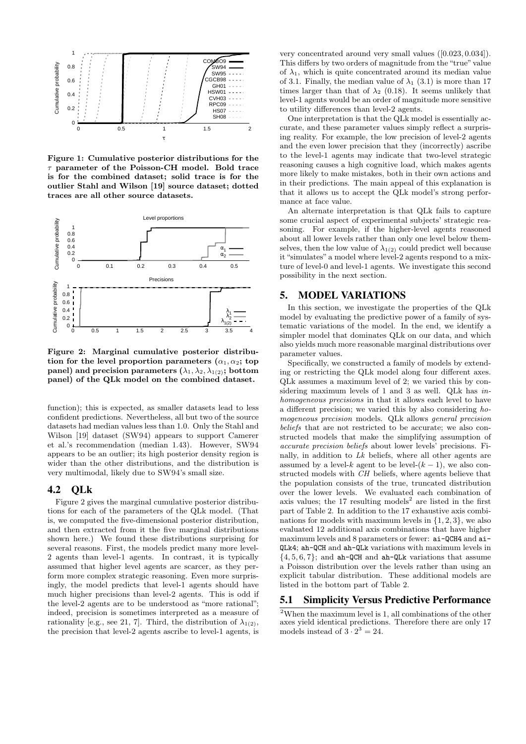

Figure 1: Cumulative posterior distributions for the  $\tau$  parameter of the Poisson-CH model. Bold trace is for the combined dataset; solid trace is for the outlier Stahl and Wilson [19] source dataset; dotted traces are all other source datasets.



Figure 2: Marginal cumulative posterior distribution for the level proportion parameters  $(\alpha_1, \alpha_2;$  top panel) and precision parameters  $(\lambda_1, \lambda_2, \lambda_{1(2)})$ ; bottom panel) of the QLk model on the combined dataset.

function); this is expected, as smaller datasets lead to less confident predictions. Nevertheless, all but two of the source datasets had median values less than 1.0. Only the Stahl and Wilson [19] dataset (SW94) appears to support Camerer et al.'s recommendation (median 1.43). However, SW94 appears to be an outlier; its high posterior density region is wider than the other distributions, and the distribution is very multimodal, likely due to SW94's small size.

## 4.2 QLk

Figure 2 gives the marginal cumulative posterior distributions for each of the parameters of the QLk model. (That is, we computed the five-dimensional posterior distribution, and then extracted from it the five marginal distributions shown here.) We found these distributions surprising for several reasons. First, the models predict many more level-2 agents than level-1 agents. In contrast, it is typically assumed that higher level agents are scarcer, as they perform more complex strategic reasoning. Even more surprisingly, the model predicts that level-1 agents should have much higher precisions than level-2 agents. This is odd if the level-2 agents are to be understood as "more rational"; indeed, precision is sometimes interpreted as a measure of rationality [e.g., see 21, 7]. Third, the distribution of  $\lambda_{1(2)}$ , the precision that level-2 agents ascribe to level-1 agents, is

very concentrated around very small values ([0.023, 0.034]). This differs by two orders of magnitude from the "true" value of  $\lambda_1$ , which is quite concentrated around its median value of 3.1. Finally, the median value of  $\lambda_1$  (3.1) is more than 17 times larger than that of  $\lambda_2$  (0.18). It seems unlikely that level-1 agents would be an order of magnitude more sensitive to utility differences than level-2 agents.

One interpretation is that the QLk model is essentially accurate, and these parameter values simply reflect a surprising reality. For example, the low precision of level-2 agents and the even lower precision that they (incorrectly) ascribe to the level-1 agents may indicate that two-level strategic reasoning causes a high cognitive load, which makes agents more likely to make mistakes, both in their own actions and in their predictions. The main appeal of this explanation is that it allows us to accept the QLk model's strong performance at face value.

An alternate interpretation is that QLk fails to capture some crucial aspect of experimental subjects' strategic reasoning. For example, if the higher-level agents reasoned about all lower levels rather than only one level below themselves, then the low value of  $\lambda_{1(2)}$  could predict well because it "simulates" a model where level-2 agents respond to a mixture of level-0 and level-1 agents. We investigate this second possibility in the next section.

## 5. MODEL VARIATIONS

In this section, we investigate the properties of the QLk model by evaluating the predictive power of a family of systematic variations of the model. In the end, we identify a simpler model that dominates QLk on our data, and which also yields much more reasonable marginal distributions over parameter values.

Specifically, we constructed a family of models by extending or restricting the QLk model along four different axes. QLk assumes a maximum level of 2; we varied this by considering maximum levels of 1 and 3 as well. QLk has inhomogeneous precisions in that it allows each level to have a different precision; we varied this by also considering homogeneous precision models. QLk allows general precision beliefs that are not restricted to be accurate; we also constructed models that make the simplifying assumption of accurate precision beliefs about lower levels' precisions. Finally, in addition to Lk beliefs, where all other agents are assumed by a level- $k$  agent to be level- $(k-1)$ , we also constructed models with CH beliefs, where agents believe that the population consists of the true, truncated distribution over the lower levels. We evaluated each combination of axis values; the  $17$  resulting models<sup>2</sup> are listed in the first part of Table 2. In addition to the 17 exhaustive axis combinations for models with maximum levels in {1, 2, 3}, we also evaluated 12 additional axis combinations that have higher maximum levels and 8 parameters or fewer: ai-QCH4 and ai-QLk4; ah-QCH and ah-QLk variations with maximum levels in  $\{4, 5, 6, 7\}$ ; and ah-QCH and ah-QLk variations that assume a Poisson distribution over the levels rather than using an explicit tabular distribution. These additional models are listed in the bottom part of Table 2.

## 5.1 Simplicity Versus Predictive Performance

<sup>2</sup>When the maximum level is 1, all combinations of the other axes yield identical predictions. Therefore there are only 17 models instead of  $3 \cdot 2^3 = 24$ .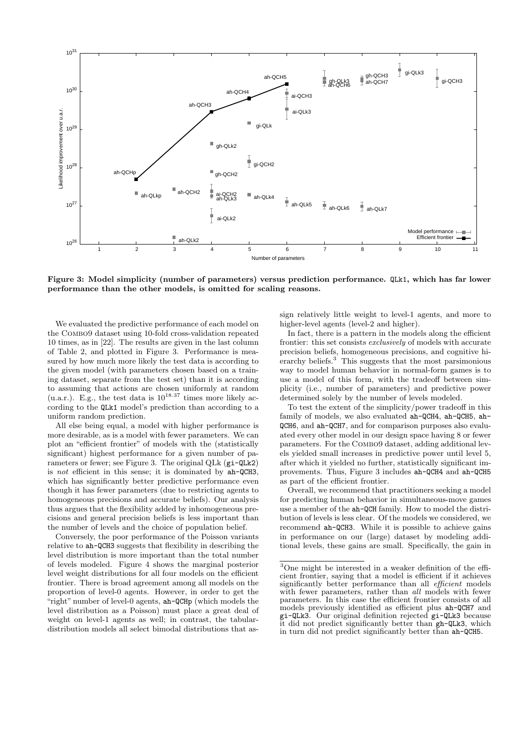

Figure 3: Model simplicity (number of parameters) versus prediction performance. QLk1, which has far lower performance than the other models, is omitted for scaling reasons.

We evaluated the predictive performance of each model on the Combo9 dataset using 10-fold cross-validation repeated 10 times, as in [22]. The results are given in the last column of Table 2, and plotted in Figure 3. Performance is measured by how much more likely the test data is according to the given model (with parameters chosen based on a training dataset, separate from the test set) than it is according to assuming that actions are chosen uniformly at random (u.a.r.). E.g., the test data is  $10^{18.37}$  times more likely according to the QLk1 model's prediction than according to a uniform random prediction.

All else being equal, a model with higher performance is more desirable, as is a model with fewer parameters. We can plot an "efficient frontier" of models with the (statistically significant) highest performance for a given number of parameters or fewer; see Figure 3. The original QLk (gi-QLk2) is not efficient in this sense; it is dominated by ah-QCH3, which has significantly better predictive performance even though it has fewer parameters (due to restricting agents to homogeneous precisions and accurate beliefs). Our analysis thus argues that the flexibility added by inhomogeneous precisions and general precision beliefs is less important than the number of levels and the choice of population belief.

Conversely, the poor performance of the Poisson variants relative to ah-QCH3 suggests that flexibility in describing the level distribution is more important than the total number of levels modeled. Figure 4 shows the marginal posterior level weight distributions for all four models on the efficient frontier. There is broad agreement among all models on the proportion of level-0 agents. However, in order to get the "right" number of level-0 agents, ah-QCHp (which models the level distribution as a Poisson) must place a great deal of weight on level-1 agents as well; in contrast, the tabulardistribution models all select bimodal distributions that assign relatively little weight to level-1 agents, and more to higher-level agents (level-2 and higher).

In fact, there is a pattern in the models along the efficient frontier: this set consists exclusively of models with accurate precision beliefs, homogeneous precisions, and cognitive hierarchy beliefs. $3$  This suggests that the most parsimonious way to model human behavior in normal-form games is to use a model of this form, with the tradeoff between simplicity (i.e., number of parameters) and predictive power determined solely by the number of levels modeled.

To test the extent of the simplicity/power tradeoff in this family of models, we also evaluated ah-QCH4, ah-QCH5, ah-QCH6, and ah-QCH7, and for comparison purposes also evaluated every other model in our design space having 8 or fewer parameters. For the Combo9 dataset, adding additional levels yielded small increases in predictive power until level 5, after which it yielded no further, statistically significant improvements. Thus, Figure 3 includes ah-QCH4 and ah-QCH5 as part of the efficient frontier.

Overall, we recommend that practitioners seeking a model for predicting human behavior in simultaneous-move games use a member of the ah-QCH family. How to model the distribution of levels is less clear. Of the models we considered, we recommend ah-QCH3. While it is possible to achieve gains in performance on our (large) dataset by modeling additional levels, these gains are small. Specifically, the gain in

 $3$ One might be interested in a weaker definition of the efficient frontier, saying that a model is efficient if it achieves significantly better performance than all *efficient* models with fewer parameters, rather than all models with fewer parameters. In this case the efficient frontier consists of all models previously identified as efficient plus ah-QCH7 and gi-QLk3. Our original definition rejected gi-QLk3 because it did not predict significantly better than gh-QLk3, which in turn did not predict significantly better than ah-QCH5.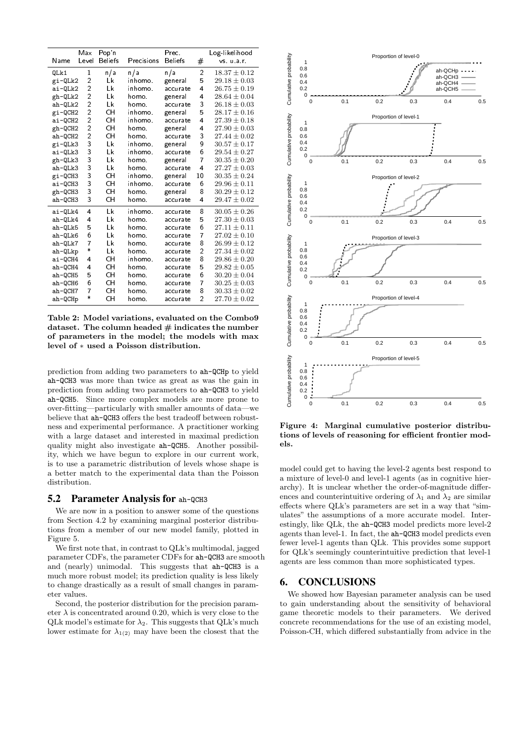|           | Max                     | Pop'n          |            | Prec.          |                | Log-likelihood   |
|-----------|-------------------------|----------------|------------|----------------|----------------|------------------|
| Name      | Level                   | <b>Beliefs</b> | Precisions | <b>Beliefs</b> | #              | vs. u.a.r.       |
| QLk1      | 1                       | n/a            | n/a        | n/a            | $\overline{c}$ | $18.37 \pm 0.12$ |
| gi-QLk2   | $\overline{\mathbf{c}}$ | Lk             | inhomo.    | general        | 5              | $29.18 \pm 0.03$ |
| ai-QLk2   | $\overline{c}$          | Lk             | inhomo.    | accurate       | 4              | $26.75 \pm 0.19$ |
| gh-QLk2   | $\overline{2}$          | Lk             | ho mo.     | general        | 4              | $28.64 \pm 0.04$ |
| $ah-QLk2$ | $\overline{2}$          | Lk             | homo.      | accurate       | 3              | $26.18 \pm 0.03$ |
| gi-QCH2   | $\overline{2}$          | CH             | inhomo.    | general        | 5              | $28.17 \pm 0.16$ |
| ai-QCH2   | $\overline{c}$          | CН             | inhomo.    | accurate       | 4              | $27.39 \pm 0.18$ |
| gh-QCH2   | $\overline{2}$          | CH             | homo.      | general        | 4              | $27.90 \pm 0.03$ |
| ah-QCH2   | $\overline{c}$          | CН             | homo.      | accurate       | 3              | $27.44 \pm 0.02$ |
| gi-QLk3   | 3                       | Lk             | inhomo.    | general        | 9              | $30.57 \pm 0.17$ |
| ai-QLk3   | 3                       | Lk             | inhomo.    | accurate       | 6              | $29.54 \pm 0.27$ |
| gh-QLk3   | 3                       | Lk             | homo.      | general        | 7              | $30.35 \pm 0.20$ |
| ah-QLk3   | 3                       | Lk             | ho mo.     | accurate       | 4              | $27.27 \pm 0.03$ |
| gi-QCH3   | 3                       | CH             | inhomo.    | general        | 10             | $30.35 \pm 0.24$ |
| ai-QCH3   | 3                       | CH             | inhomo.    | accurate       | 6              | $29.96 \pm 0.11$ |
| gh-QCH3   | 3                       | CH             | homo.      | general        | 8              | $30.29 \pm 0.12$ |
| ah-QCH3   | 3                       | CH             | homo.      | accurate       | 4              | $29.47 \pm 0.02$ |
| ai-QLk4   | 4                       | Lk             | inhomo.    | accurate       | 8              | $30.05 \pm 0.26$ |
| ah-QLk4   | 4                       | Lk             | ho mo.     | accurate       | 5              | $27.30 \pm 0.03$ |
| ah-QLk5   | 5                       | Lk             | homo.      | accurate       | 6              | $27.11 \pm 0.11$ |
| ah-QLk6   | 6                       | Lk             | homo.      | accurate       | 7              | $27.02 \pm 0.10$ |
| $ah-QLk7$ | 7                       | Lk             | homo.      | accurate       | 8              | $26.99 \pm 0.12$ |
| ah-QLkp   | *                       | Lk             | homo.      | accurate       | 2              | $27.34 \pm 0.02$ |
| ai-QCH4   | 4                       | CH             | inhomo.    | accurate       | 8              | $29.86 \pm 0.20$ |
| ah-QCH4   | 4                       | CH             | homo.      | accurate       | 5              | $29.82 \pm 0.05$ |
| ah-QCH5   | 5                       | CH             | homo.      | accurate       | 6              | $30.20 \pm 0.04$ |
| ah-QCH6   | 6                       | CH             | homo.      | accurate       | 7              | $30.25 \pm 0.03$ |
| ah-QCH7   | $\overline{7}$          | CН             | homo.      | accurate       | 8              | $30.33 \pm 0.02$ |
| ah-QCHp   | $\ast$                  | CH             | homo.      | accurate       | $\overline{2}$ | $27.70 \pm 0.02$ |

Table 2: Model variations, evaluated on the Combo9 dataset. The column headed  $#$  indicates the number of parameters in the model; the models with max level of ∗ used a Poisson distribution.

prediction from adding two parameters to ah-QCHp to yield ah-QCH3 was more than twice as great as was the gain in prediction from adding two parameters to ah-QCH3 to yield ah-QCH5. Since more complex models are more prone to over-fitting—particularly with smaller amounts of data—we believe that ah-QCH3 offers the best tradeoff between robustness and experimental performance. A practitioner working with a large dataset and interested in maximal prediction quality might also investigate ah-QCH5. Another possibility, which we have begun to explore in our current work, is to use a parametric distribution of levels whose shape is a better match to the experimental data than the Poisson distribution.

#### 5.2 Parameter Analysis for ah-QCH3

We are now in a position to answer some of the questions from Section 4.2 by examining marginal posterior distributions from a member of our new model family, plotted in Figure 5.

We first note that, in contrast to QLk's multimodal, jagged parameter CDFs, the parameter CDFs for ah-QCH3 are smooth and (nearly) unimodal. This suggests that ah-QCH3 is a much more robust model; its prediction quality is less likely to change drastically as a result of small changes in parameter values.

Second, the posterior distribution for the precision parameter  $\lambda$  is concentrated around 0.20, which is very close to the QLk model's estimate for  $\lambda_2$ . This suggests that QLk's much lower estimate for  $\lambda_{1(2)}$  may have been the closest that the



Figure 4: Marginal cumulative posterior distributions of levels of reasoning for efficient frontier models.

model could get to having the level-2 agents best respond to a mixture of level-0 and level-1 agents (as in cognitive hierarchy). It is unclear whether the order-of-magnitude differences and counterintuitive ordering of  $\lambda_1$  and  $\lambda_2$  are similar effects where QLk's parameters are set in a way that "simulates" the assumptions of a more accurate model. Interestingly, like QLk, the ah-QCH3 model predicts more level-2 agents than level-1. In fact, the ah-QCH3 model predicts even fewer level-1 agents than QLk. This provides some support for QLk's seemingly counterintuitive prediction that level-1 agents are less common than more sophisticated types.

## 6. CONCLUSIONS

We showed how Bayesian parameter analysis can be used to gain understanding about the sensitivity of behavioral game theoretic models to their parameters. We derived concrete recommendations for the use of an existing model, Poisson-CH, which differed substantially from advice in the